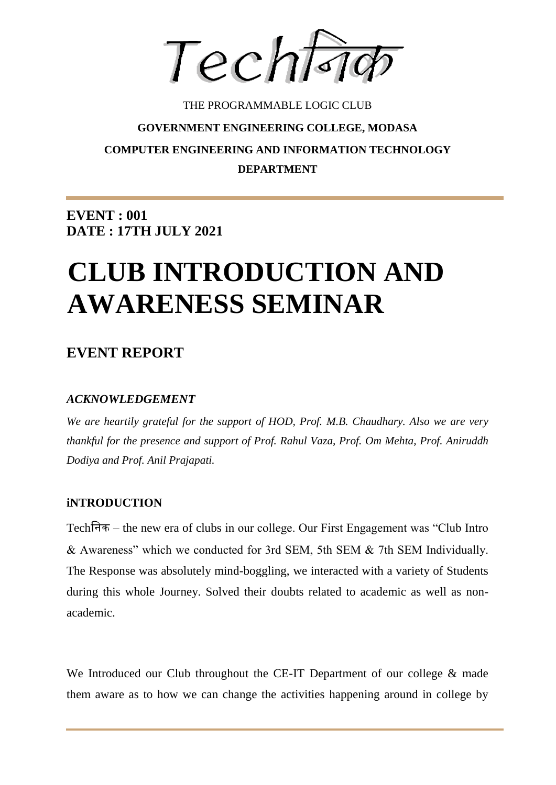Techtsid

## THE PROGRAMMABLE LOGIC CLUB **GOVERNMENT ENGINEERING COLLEGE, MODASA COMPUTER ENGINEERING AND INFORMATION TECHNOLOGY DEPARTMENT**

**EVENT : 001 DATE : 17TH JULY 2021**

# **CLUB INTRODUCTION AND AWARENESS SEMINAR**

### **EVENT REPORT**

#### *ACKNOWLEDGEMENT*

*We are heartily grateful for the support of HOD, Prof. M.B. Chaudhary. Also we are very thankful for the presence and support of Prof. Rahul Vaza, Prof. Om Mehta, Prof. Aniruddh Dodiya and Prof. Anil Prajapati.* 

#### **iNTRODUCTION**

Techनिक – the new era of clubs in our college. Our First Engagement was "Club Intro & Awareness" which we conducted for 3rd SEM, 5th SEM & 7th SEM Individually. The Response was absolutely mind-boggling, we interacted with a variety of Students during this whole Journey. Solved their doubts related to academic as well as nonacademic.

We Introduced our Club throughout the CE-IT Department of our college & made them aware as to how we can change the activities happening around in college by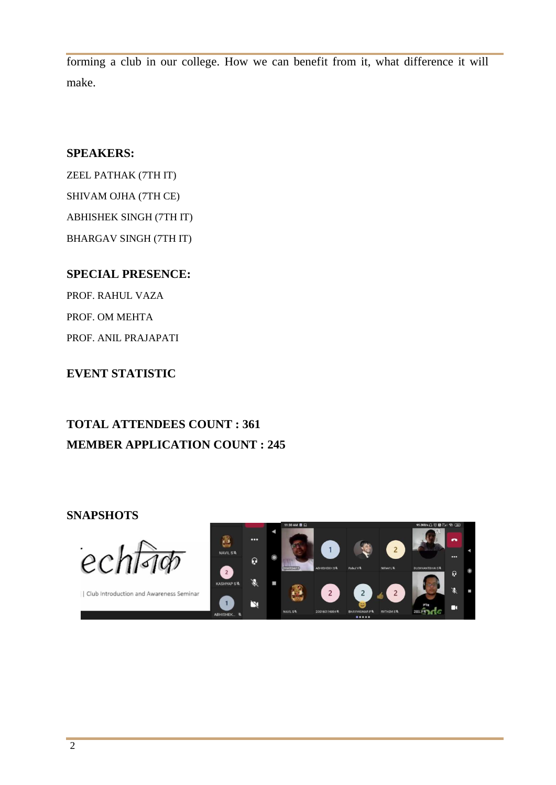forming a club in our college. How we can benefit from it, what difference it will make.

#### **SPEAKERS:**

ZEEL PATHAK (7TH IT) SHIVAM OJHA (7TH CE) ABHISHEK SINGH (7TH IT) BHARGAV SINGH (7TH IT)

#### **SPECIAL PRESENCE:**

PROF. RAHUL VAZA PROF. OM MEHTA PROF. ANIL PRAJAPATI

#### **EVENT STATISTIC**

## **TOTAL ATTENDEES COUNT : 361 MEMBER APPLICATION COUNT : 245**

#### **SNAPSHOTS**